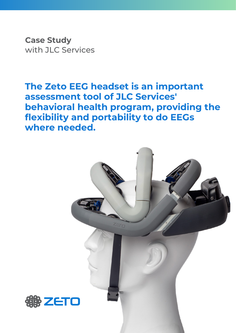**Case Study** with JLC Services

**The Zeto EEG headset is an important assessment tool of JLC Services' behavioral health program, providing the flexibility and portability to do EEGs where needed.**

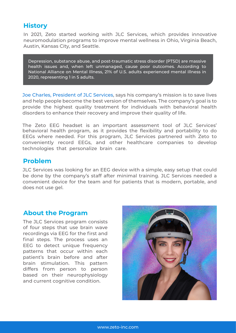## **History**

In 2021, Zeto started working with JLC Services, which provides innovative neuromodulation programs to improve mental wellness in Ohio, Virginia Beach, Austin, Kansas City, and Seattle.

Depression, substance abuse, and post-traumatic stress disorder (PTSD) are massive health issues and, when left unmanaged, cause poor outcomes. According to National Alliance on Mental Illness, 21% of U.S. adults experienced mental illness in 2020, representing 1 in 5 adults.

Joe Charles, President of JLC Services, says his company's mission is to save lives and help people become the best version of themselves. The company's goal is to provide the highest quality treatment for individuals with behavioral health disorders to enhance their recovery and improve their quality of life.

The Zeto EEG headset is an important assessment tool of JLC Services' behavioral health program, as it provides the flexibility and portability to do EEGs where needed. For this program, JLC Services partnered with Zeto to conveniently record EEGs, and other healthcare companies to develop technologies that personalize brain care.

#### **Problem**

JLC Services was looking for an EEG device with a simple, easy setup that could be done by the company's staff after minimal training. JLC Services needed a convenient device for the team and for patients that is modern, portable, and does not use gel.

### **About the Program**

The JLC Services program consists of four steps that use brain wave recordings via EEG for the first and final steps. The process uses an EEG to detect unique frequency patterns that occur within each patient's brain before and after brain stimulation. This pattern differs from person to person based on their neurophysiology and current cognitive condition.

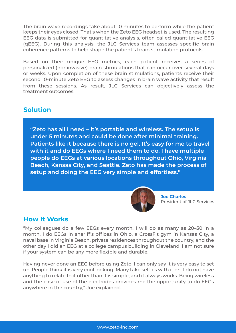The brain wave recordings take about 10 minutes to perform while the patient keeps their eyes closed. That's when the Zeto EEG headset is used. The resulting EEG data is submitted for quantitative analysis, often called quantitative EEG (qEEG). During this analysis, the JLC Services team assesses specific brain coherence patterns to help shape the patient's brain stimulation protocols.

Based on their unique EEG metrics, each patient receives a series of personalized (noninvasive) brain stimulations that can occur over several days or weeks. Upon completion of these brain stimulations, patients receive their second 10-minute Zeto EEG to assess changes in brain wave activity that result from these sessions. As result, JLC Services can objectively assess the treatment outcomes.

# **Solution**

**"Zeto has all I need – it's portable and wireless. The setup is under 5 minutes and could be done after minimal training. Patients like it because there is no gel. It's easy for me to travel with it and do EEGs where I need them to do. I have multiple people do EEGs at various locations throughout Ohio, Virginia Beach, Kansas City, and Seattle. Zeto has made the process of setup and doing the EEG very simple and effortless."**



**Joe Charles** President of JLC Services

### **How It Works**

"My colleagues do a few EEGs every month. I will do as many as 20–30 in a month. I do EEGs in sheriff's offices in Ohio, a CrossFit gym in Kansas City, a naval base in Virginia Beach, private residences throughout the country, and the other day I did an EEG at a college campus building in Cleveland. I am not sure if your system can be any more flexible and durable.

Having never done an EEG before using Zeto, I can only say it is very easy to set up. People think it is very cool looking. Many take selfies with it on. I do not have anything to relate to it other than it is simple, and it always works. Being wireless and the ease of use of the electrodes provides me the opportunity to do EEGs anywhere in the country," Joe explained.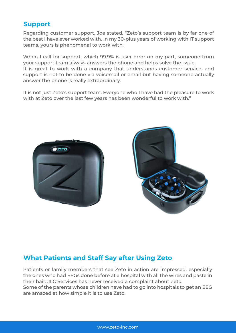## **Support**

Regarding customer support, Joe stated, "Zeto's support team is by far one of the best I have ever worked with. In my 30-plus years of working with IT support teams, yours is phenomenal to work with.

When I call for support, which 99.9% is user error on my part, someone from your support team always answers the phone and helps solve the issue. It is great to work with a company that understands customer service, and support is not to be done via voicemail or email but having someone actually answer the phone is really extraordinary.

It is not just Zeto's support team. Everyone who I have had the pleasure to work with at Zeto over the last few years has been wonderful to work with."





# **What Patients and Staff Say after Using Zeto**

Patients or family members that see Zeto in action are impressed, especially the ones who had EEGs done before at a hospital with all the wires and paste in their hair. JLC Services has never received a complaint about Zeto. Some of the parents whose children have had to go into hospitals to get an EEG are amazed at how simple it is to use Zeto.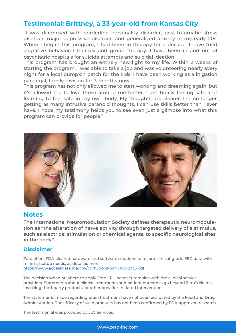## **Testimonial: Brittney, a 33-year-old from Kansas City**

"I was diagnosed with borderline personality disorder, post-traumatic stress disorder, major depressive disorder, and generalized anxiety in my early 20s. When I began this program, I had been in therapy for a decade. I have tried cognitive behavioral therapy and group therapy. I have been in and out of psychiatric hospitals for suicide attempts and suicidal ideation.

This program has brought an entirely new light to my life. Within 2 weeks of starting the program, I was able to take a job and was volunteering nearly every night for a local pumpkin patch for the kids. I have been working as a litigation paralegal, family division for 3 months now.

This program has not only allowed me to start working and dreaming again, but it's allowed me to love those around me better. I am finally feeling safe and learning to feel safe in my own body. My thoughts are clearer. I'm no longer getting as many intrusive paranoid thoughts. I can use skills better than I ever have. I hope my testimony helps you to see even just a glimpse into what this program can provide for people."



#### **Notes**

**The International Neuromodulation Society defines therapeutic neuromodulation as "the alteration of nerve activity through targeted delivery of a stimulus, such as electrical stimulation or chemical agents, to specific neurological sites in the body".**

#### **Disclaimer**

Zeto offers FDA-cleared hardware and software solutions to record clinical-grade EEG data with minimal setup needs, as detailed here: https://www.accessdata.fda.gov/cdrh\_docs/pdf17/K172735.pdf.

The decision when or where to apply Zeto EEG headset remains with the clinical service providers. Statements about clinical treatments and patient outcomes go beyond Zeto's claims, involving third-party products, or other provider-initiated interventions.

The statements made regarding brain treatment have not been evaluated by the Food and Drug Administration. The efficacy of such products has not been confirmed by FDA-approved research.

The testimonial was provided by JLC Services.